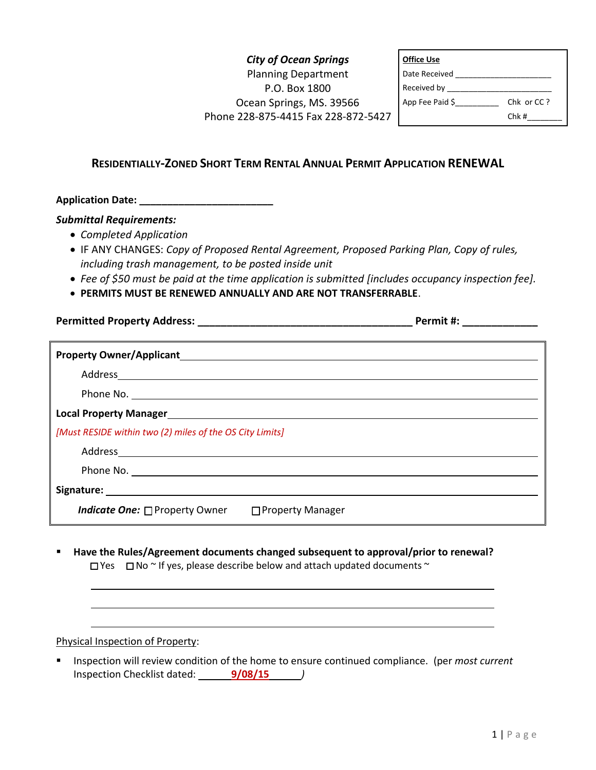## *City of Ocean Springs* Planning Department P.O. Box 1800 Ocean Springs, MS. 39566 Phone 228-875-4415 Fax 228-872-5427

| <b>Office Use</b> |            |
|-------------------|------------|
| Date Received     |            |
| Received by       |            |
| App Fee Paid \$   | Chk or CC? |
|                   | Chk#       |

## **RESIDENTIALLY-ZONED SHORT TERM RENTAL ANNUAL PERMIT APPLICATION RENEWAL**

**Application Date: \_\_\_\_\_\_\_\_\_\_\_\_\_\_\_\_\_\_\_\_\_\_\_\_**

## *Submittal Requirements:*

- *Completed Application*
- IF ANY CHANGES: *Copy of Proposed Rental Agreement, Proposed Parking Plan, Copy of rules, including trash management, to be posted inside unit*

**Permitted Property Address: \_\_\_\_\_\_\_\_\_\_\_\_\_\_\_\_\_\_\_\_\_\_\_\_\_\_\_\_\_\_\_\_\_\_\_\_\_ Permit #: \_\_\_\_\_\_\_\_\_\_\_\_\_**

- *Fee of \$50 must be paid at the time application is submitted [includes occupancy inspection fee].*
- **PERMITS MUST BE RENEWED ANNUALLY AND ARE NOT TRANSFERRABLE**.

| Address and the contract of the contract of the contract of the contract of the contract of the contract of the contract of the contract of the contract of the contract of the contract of the contract of the contract of th       |
|--------------------------------------------------------------------------------------------------------------------------------------------------------------------------------------------------------------------------------------|
|                                                                                                                                                                                                                                      |
|                                                                                                                                                                                                                                      |
| [Must RESIDE within two (2) miles of the OS City Limits]                                                                                                                                                                             |
|                                                                                                                                                                                                                                      |
|                                                                                                                                                                                                                                      |
| Signature: <u>contract and a series of the series of the series of the series of the series of the series of the series of the series of the series of the series of the series of the series of the series of the series of the</u> |
| <i>Indicate One:</i> □ Property Owner<br>□ Property Manager                                                                                                                                                                          |

**Have the Rules/Agreement documents changed subsequent to approval/prior to renewal?**  $\square$  Yes  $\square$  No  $\sim$  If yes, please describe below and attach updated documents  $\sim$ 

Physical Inspection of Property:

**Inspection will review condition of the home to ensure continued compliance.** (per *most current* Inspection Checklist dated: **9/08/15** *)*